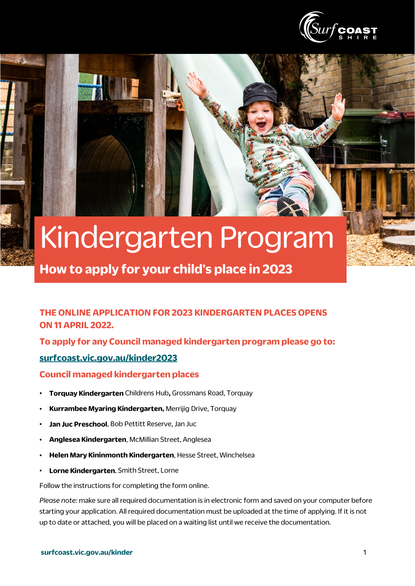

# Kindergarten Program

**How to apply for your child's place in 2023**

#### **THE ONLINE APPLICATION FOR 2023 KINDERGARTEN PLACES OPENS ON 11 APRIL 2022.**

**To apply for any Council managed kindergarten program please go to:** 

#### **[surfcoast.vic.gov.au/kinder2023](http://www.surfcoast.vic.gov.au/kinder2022)**

**Council managed kindergarten places**

- **Torquay Kindergarten** Childrens Hub**,** Grossmans Road, Torquay
- **Kurrambee Myaring Kindergarten,** Merrijig Drive, Torquay
- **Jan Juc Preschool**, Bob Pettitt Reserve, Jan Juc
- **Anglesea Kindergarten**, McMillian Street, Anglesea
- **Helen Mary Kininmonth Kindergarten**, Hesse Street, Winchelsea
- **Lorne Kindergarten**, Smith Street, Lorne

Follow the instructions for completing the form online.

*Please note:* make sure all required documentation is in electronic form and saved on your computer before starting your application. All required documentation must be uploaded at the time of applying. If it is not up to date or attached, you will be placed on a waiting list until we receive the documentation.